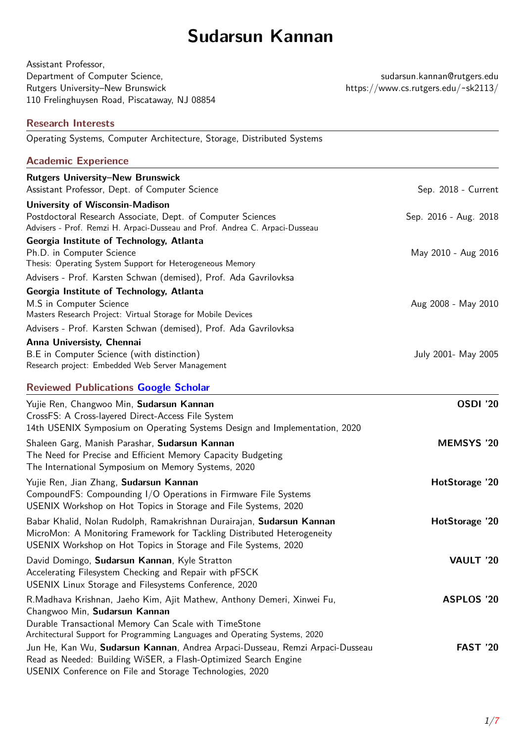# **Sudarsun Kannan**

| Assistant Professor,                         |  |
|----------------------------------------------|--|
| Department of Computer Science,              |  |
| Rutgers University–New Brunswick             |  |
| 110 Frelinghuysen Road, Piscataway, NJ 08854 |  |
|                                              |  |

sudarsun.kannan@rutgers.edu Authority–New Brunswick https://www.cs.rutgers.edu/~sk2113/

| <b>Research Interests</b>                                                                                                                                                                                                                       |                       |
|-------------------------------------------------------------------------------------------------------------------------------------------------------------------------------------------------------------------------------------------------|-----------------------|
| Operating Systems, Computer Architecture, Storage, Distributed Systems                                                                                                                                                                          |                       |
| <b>Academic Experience</b>                                                                                                                                                                                                                      |                       |
| <b>Rutgers University-New Brunswick</b>                                                                                                                                                                                                         |                       |
| Assistant Professor, Dept. of Computer Science                                                                                                                                                                                                  | Sep. 2018 - Current   |
| <b>University of Wisconsin-Madison</b>                                                                                                                                                                                                          |                       |
| Postdoctoral Research Associate, Dept. of Computer Sciences<br>Advisers - Prof. Remzi H. Arpaci-Dusseau and Prof. Andrea C. Arpaci-Dusseau                                                                                                      | Sep. 2016 - Aug. 2018 |
| Georgia Institute of Technology, Atlanta                                                                                                                                                                                                        |                       |
| Ph.D. in Computer Science                                                                                                                                                                                                                       | May 2010 - Aug 2016   |
| Thesis: Operating System Support for Heterogeneous Memory                                                                                                                                                                                       |                       |
| Advisers - Prof. Karsten Schwan (demised), Prof. Ada Gavrilovksa                                                                                                                                                                                |                       |
| Georgia Institute of Technology, Atlanta<br>M.S in Computer Science                                                                                                                                                                             |                       |
| Masters Research Project: Virtual Storage for Mobile Devices                                                                                                                                                                                    | Aug 2008 - May 2010   |
| Advisers - Prof. Karsten Schwan (demised), Prof. Ada Gavrilovksa                                                                                                                                                                                |                       |
| Anna Universisty, Chennai                                                                                                                                                                                                                       |                       |
| B.E in Computer Science (with distinction)<br>Research project: Embedded Web Server Management                                                                                                                                                  | July 2001- May 2005   |
| <b>Reviewed Publications Google Scholar</b>                                                                                                                                                                                                     |                       |
| Yujie Ren, Changwoo Min, Sudarsun Kannan<br>CrossFS: A Cross-layered Direct-Access File System<br>14th USENIX Symposium on Operating Systems Design and Implementation, 2020                                                                    | <b>OSDI '20</b>       |
| Shaleen Garg, Manish Parashar, Sudarsun Kannan<br>The Need for Precise and Efficient Memory Capacity Budgeting<br>The International Symposium on Memory Systems, 2020                                                                           | <b>MEMSYS '20</b>     |
| Yujie Ren, Jian Zhang, Sudarsun Kannan<br>CompoundFS: Compounding I/O Operations in Firmware File Systems<br>USENIX Workshop on Hot Topics in Storage and File Systems, 2020                                                                    | HotStorage '20        |
| Babar Khalid, Nolan Rudolph, Ramakrishnan Durairajan, Sudarsun Kannan<br>MicroMon: A Monitoring Framework for Tackling Distributed Heterogeneity<br>USENIX Workshop on Hot Topics in Storage and File Systems, 2020                             | HotStorage '20        |
| David Domingo, Sudarsun Kannan, Kyle Stratton<br>Accelerating Filesystem Checking and Repair with pFSCK<br>USENIX Linux Storage and Filesystems Conference, 2020                                                                                | VAULT '20             |
| R.Madhava Krishnan, Jaeho Kim, Ajit Mathew, Anthony Demeri, Xinwei Fu,<br>Changwoo Min, Sudarsun Kannan<br>Durable Transactional Memory Can Scale with TimeStone<br>Architectural Support for Programming Languages and Operating Systems, 2020 | <b>ASPLOS '20</b>     |
| Jun He, Kan Wu, Sudarsun Kannan, Andrea Arpaci-Dusseau, Remzi Arpaci-Dusseau<br>Read as Needed: Building WiSER, a Flash-Optimized Search Engine<br>USENIX Conference on File and Storage Technologies, 2020                                     | <b>FAST '20</b>       |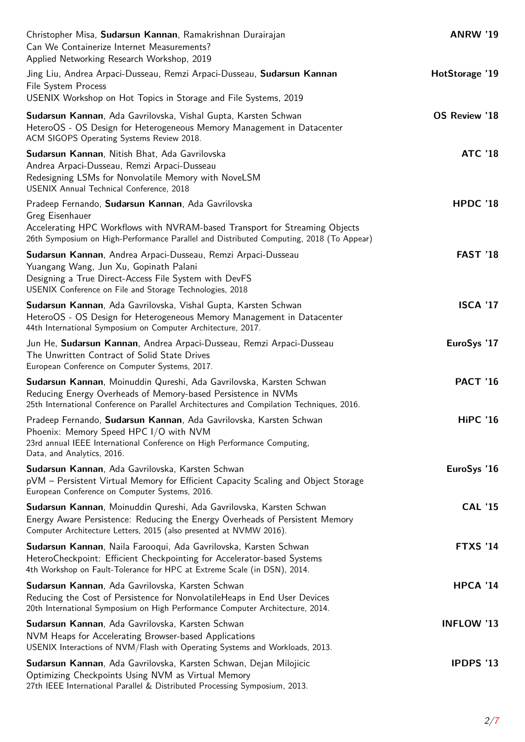| <b>ANRW '19</b>   |
|-------------------|
| HotStorage '19    |
| OS Review '18     |
| <b>ATC '18</b>    |
| HPDC '18          |
| <b>FAST '18</b>   |
| <b>ISCA '17</b>   |
| EuroSys '17       |
| <b>PACT '16</b>   |
| <b>HiPC '16</b>   |
| EuroSys '16       |
| <b>CAL '15</b>    |
| <b>FTXS '14</b>   |
| <b>HPCA '14</b>   |
| <b>INFLOW '13</b> |
| <b>IPDPS '13</b>  |
|                   |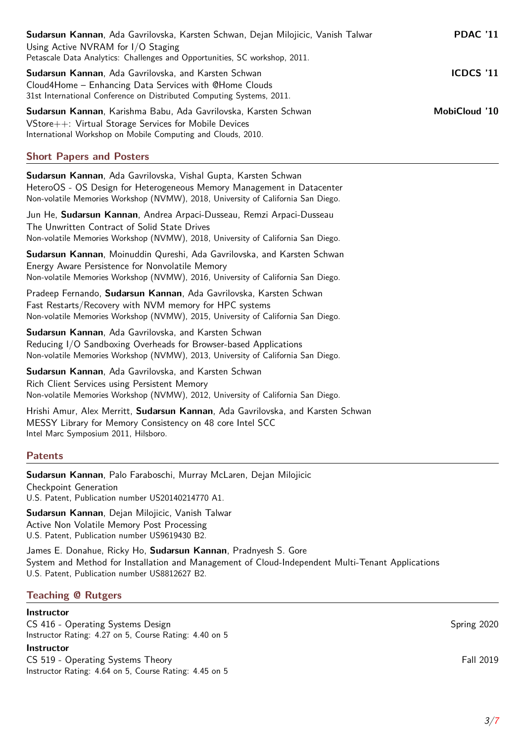| Sudarsun Kannan, Ada Gavrilovska, Karsten Schwan, Dejan Milojicic, Vanish Talwar<br>Using Active NVRAM for I/O Staging<br>Petascale Data Analytics: Challenges and Opportunities, SC workshop, 2011. | <b>PDAC '11</b>  |
|------------------------------------------------------------------------------------------------------------------------------------------------------------------------------------------------------|------------------|
| <b>Sudarsun Kannan</b> , Ada Gavrilovska, and Karsten Schwan<br>Cloud4Home – Enhancing Data Services with @Home Clouds<br>31st International Conference on Distributed Computing Systems, 2011.      | <b>ICDCS '11</b> |
| <b>Sudarsun Kannan</b> , Karishma Babu, Ada Gavrilovska, Karsten Schwan<br>VStore++: Virtual Storage Services for Mobile Devices<br>International Workshop on Mobile Computing and Clouds, 2010.     | MobiCloud '10    |
| <b>Short Papers and Posters</b>                                                                                                                                                                      |                  |

**Sudarsun Kannan**, Ada Gavrilovska, Vishal Gupta, Karsten Schwan HeteroOS - OS Design for Heterogeneous Memory Management in Datacenter Non-volatile Memories Workshop (NVMW), 2018, University of California San Diego.

Jun He, **Sudarsun Kannan**, Andrea Arpaci-Dusseau, Remzi Arpaci-Dusseau The Unwritten Contract of Solid State Drives Non-volatile Memories Workshop (NVMW), 2018, University of California San Diego.

**Sudarsun Kannan**, Moinuddin Qureshi, Ada Gavrilovska, and Karsten Schwan Energy Aware Persistence for Nonvolatile Memory Non-volatile Memories Workshop (NVMW), 2016, University of California San Diego.

Pradeep Fernando, **Sudarsun Kannan**, Ada Gavrilovska, Karsten Schwan Fast Restarts/Recovery with NVM memory for HPC systems Non-volatile Memories Workshop (NVMW), 2015, University of California San Diego.

**Sudarsun Kannan**, Ada Gavrilovska, and Karsten Schwan Reducing I/O Sandboxing Overheads for Browser-based Applications Non-volatile Memories Workshop (NVMW), 2013, University of California San Diego.

**Sudarsun Kannan**, Ada Gavrilovska, and Karsten Schwan Rich Client Services using Persistent Memory Non-volatile Memories Workshop (NVMW), 2012, University of California San Diego.

Hrishi Amur, Alex Merritt, **Sudarsun Kannan**, Ada Gavrilovska, and Karsten Schwan MESSY Library for Memory Consistency on 48 core Intel SCC Intel Marc Symposium 2011, Hilsboro.

# **Patents**

**Sudarsun Kannan**, Palo Faraboschi, Murray McLaren, Dejan Milojicic

Checkpoint Generation U.S. Patent, Publication number US20140214770 A1.

**Sudarsun Kannan**, Dejan Milojicic, Vanish Talwar Active Non Volatile Memory Post Processing U.S. Patent, Publication number US9619430 B2.

James E. Donahue, Ricky Ho, **Sudarsun Kannan**, Pradnyesh S. Gore System and Method for Installation and Management of Cloud-Independent Multi-Tenant Applications U.S. Patent, Publication number US8812627 B2.

# **Teaching @ Rutgers**

### **Instructor**

CS 416 - Operating Systems Design Spring 2020 Spring 2020 Instructor Rating: 4.27 on 5, Course Rating: 4.40 on 5 **Instructor**

CS 519 - Operating Systems Theory Fall 2019 Instructor Rating: 4.64 on 5, Course Rating: 4.45 on 5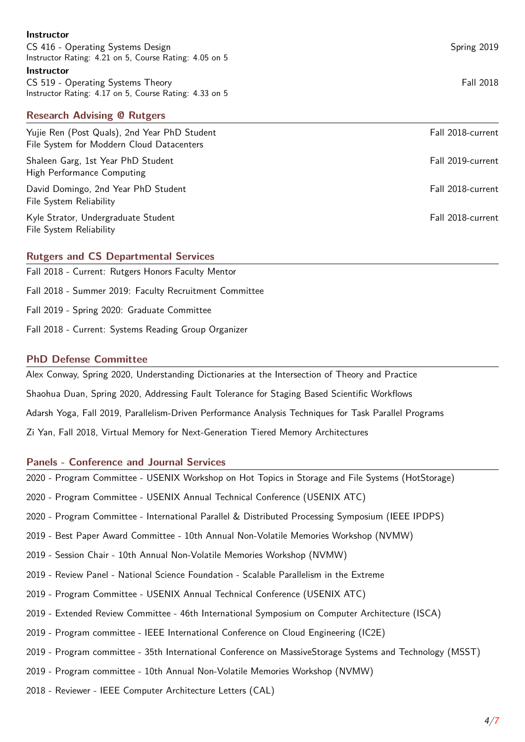| Instructor                                             |                   |
|--------------------------------------------------------|-------------------|
| CS 416 - Operating Systems Design                      | Spring 2019       |
| Instructor Rating: 4.21 on 5, Course Rating: 4.05 on 5 |                   |
| <b>Instructor</b>                                      |                   |
| CS 519 - Operating Systems Theory                      | <b>Fall 2018</b>  |
| Instructor Rating: 4.17 on 5, Course Rating: 4.33 on 5 |                   |
|                                                        |                   |
| <b>Research Advising @ Rutgers</b>                     |                   |
| Yujie Ren (Post Quals), 2nd Year PhD Student           | Fall 2018-current |
| File System for Moddern Cloud Datacenters              |                   |
|                                                        | Fall 2019-current |
| Shaleen Garg, 1st Year PhD Student                     |                   |
| High Performance Computing                             |                   |
| David Domingo, 2nd Year PhD Student                    | Fall 2018-current |
| File System Reliability                                |                   |
| Kyle Strator, Undergraduate Student                    | Fall 2018-current |
| File System Reliability                                |                   |
|                                                        |                   |

# **Rutgers and CS Departmental Services**

Fall 2018 - Current: Rutgers Honors Faculty Mentor Fall 2018 - Summer 2019: Faculty Recruitment Committee Fall 2019 - Spring 2020: Graduate Committee Fall 2018 - Current: Systems Reading Group Organizer

## **PhD Defense Committee**

Alex Conway, Spring 2020, Understanding Dictionaries at the Intersection of Theory and Practice Shaohua Duan, Spring 2020, Addressing Fault Tolerance for Staging Based Scientific Workflows Adarsh Yoga, Fall 2019, Parallelism-Driven Performance Analysis Techniques for Task Parallel Programs Zi Yan, Fall 2018, Virtual Memory for Next-Generation Tiered Memory Architectures

### **Panels - Conference and Journal Services**

2020 - Program Committee - USENIX Workshop on Hot Topics in Storage and File Systems (HotStorage)

2020 - Program Committee - USENIX Annual Technical Conference (USENIX ATC)

2020 - Program Committee - International Parallel & Distributed Processing Symposium (IEEE IPDPS)

2019 - Best Paper Award Committee - 10th Annual Non-Volatile Memories Workshop (NVMW)

2019 - Session Chair - 10th Annual Non-Volatile Memories Workshop (NVMW)

2019 - Review Panel - National Science Foundation - Scalable Parallelism in the Extreme

2019 - Program Committee - USENIX Annual Technical Conference (USENIX ATC)

- 2019 Extended Review Committee 46th International Symposium on Computer Architecture (ISCA)
- 2019 Program committee IEEE International Conference on Cloud Engineering (IC2E)
- 2019 Program committee 35th International Conference on MassiveStorage Systems and Technology (MSST)
- 2019 Program committee 10th Annual Non-Volatile Memories Workshop (NVMW)
- 2018 Reviewer IEEE Computer Architecture Letters (CAL)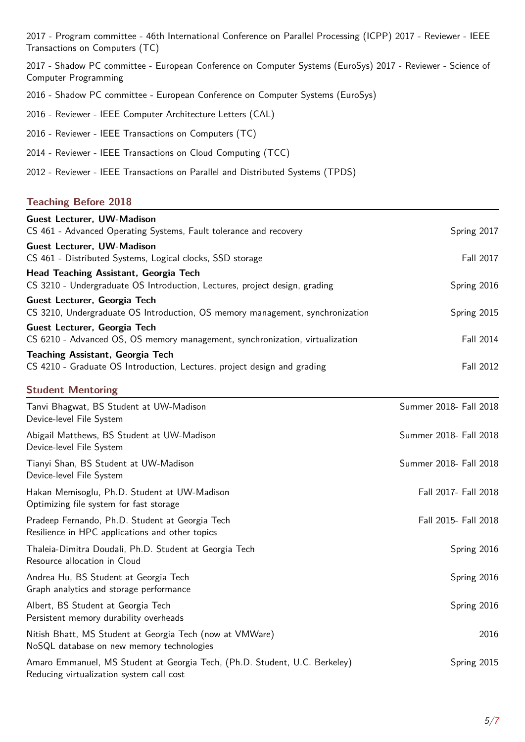2017 - Program committee - 46th International Conference on Parallel Processing (ICPP) 2017 - Reviewer - IEEE Transactions on Computers (TC)

2017 - Shadow PC committee - European Conference on Computer Systems (EuroSys) 2017 - Reviewer - Science of Computer Programming

- 2016 Shadow PC committee European Conference on Computer Systems (EuroSys)
- 2016 Reviewer IEEE Computer Architecture Letters (CAL)
- 2016 Reviewer IEEE Transactions on Computers (TC)
- 2014 Reviewer IEEE Transactions on Cloud Computing (TCC)
- 2012 Reviewer IEEE Transactions on Parallel and Distributed Systems (TPDS)

## **Teaching Before 2018**

| <b>Guest Lecturer, UW-Madison</b><br>CS 461 - Advanced Operating Systems, Fault tolerance and recovery                 | Spring 2017            |
|------------------------------------------------------------------------------------------------------------------------|------------------------|
| <b>Guest Lecturer, UW-Madison</b><br>CS 461 - Distributed Systems, Logical clocks, SSD storage                         | Fall 2017              |
| Head Teaching Assistant, Georgia Tech<br>CS 3210 - Undergraduate OS Introduction, Lectures, project design, grading    | Spring 2016            |
| Guest Lecturer, Georgia Tech<br>CS 3210, Undergraduate OS Introduction, OS memory management, synchronization          | Spring 2015            |
| Guest Lecturer, Georgia Tech<br>CS 6210 - Advanced OS, OS memory management, synchronization, virtualization           | Fall 2014              |
| <b>Teaching Assistant, Georgia Tech</b><br>CS 4210 - Graduate OS Introduction, Lectures, project design and grading    | Fall 2012              |
| <b>Student Mentoring</b>                                                                                               |                        |
| Tanvi Bhagwat, BS Student at UW-Madison<br>Device-level File System                                                    | Summer 2018- Fall 2018 |
| Abigail Matthews, BS Student at UW-Madison<br>Device-level File System                                                 | Summer 2018- Fall 2018 |
| Tianyi Shan, BS Student at UW-Madison<br>Device-level File System                                                      | Summer 2018- Fall 2018 |
| Hakan Memisoglu, Ph.D. Student at UW-Madison<br>Optimizing file system for fast storage                                | Fall 2017- Fall 2018   |
| Pradeep Fernando, Ph.D. Student at Georgia Tech<br>Resilience in HPC applications and other topics                     | Fall 2015- Fall 2018   |
| Thaleia-Dimitra Doudali, Ph.D. Student at Georgia Tech<br>Resource allocation in Cloud                                 | Spring 2016            |
| Andrea Hu, BS Student at Georgia Tech<br>Graph analytics and storage performance                                       | Spring 2016            |
| Albert, BS Student at Georgia Tech<br>Persistent memory durability overheads                                           | Spring 2016            |
| Nitish Bhatt, MS Student at Georgia Tech (now at VMWare)<br>NoSQL database on new memory technologies                  | 2016                   |
| Amaro Emmanuel, MS Student at Georgia Tech, (Ph.D. Student, U.C. Berkeley)<br>Reducing virtualization system call cost | Spring 2015            |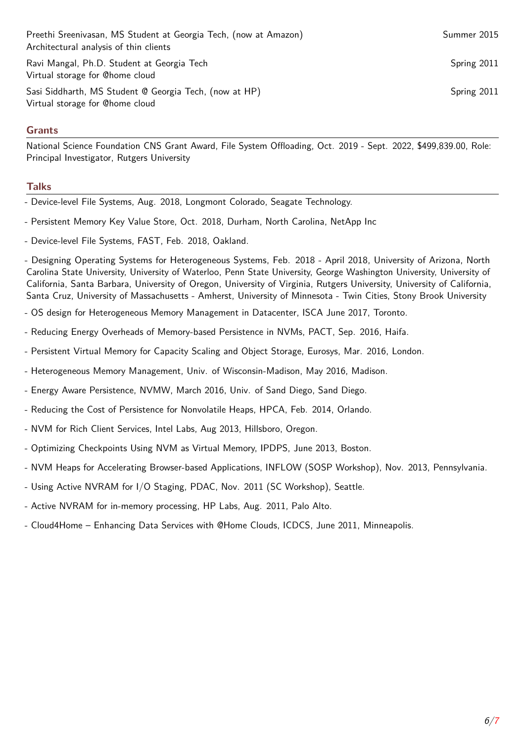Preethi Sreenivasan, MS Student at Georgia Tech, (now at Amazon) Summer 2015 Architectural analysis of thin clients Ravi Mangal, Ph.D. Student at Georgia Tech Spring 2011 Virtual storage for @home cloud

Sasi Siddharth, MS Student @ Georgia Tech, (now at HP) Spring 2011 Virtual storage for @home cloud

# **Grants**

National Science Foundation CNS Grant Award, File System Offloading, Oct. 2019 - Sept. 2022, \$499,839.00, Role: Principal Investigator, Rutgers University

### **Talks**

- Device-level File Systems, Aug. 2018, Longmont Colorado, Seagate Technology.
- Persistent Memory Key Value Store, Oct. 2018, Durham, North Carolina, NetApp Inc
- Device-level File Systems, FAST, Feb. 2018, Oakland.

- Designing Operating Systems for Heterogeneous Systems, Feb. 2018 - April 2018, University of Arizona, North Carolina State University, University of Waterloo, Penn State University, George Washington University, University of California, Santa Barbara, University of Oregon, University of Virginia, Rutgers University, University of California, Santa Cruz, University of Massachusetts - Amherst, University of Minnesota - Twin Cities, Stony Brook University

- OS design for Heterogeneous Memory Management in Datacenter, ISCA June 2017, Toronto.
- Reducing Energy Overheads of Memory-based Persistence in NVMs, PACT, Sep. 2016, Haifa.
- Persistent Virtual Memory for Capacity Scaling and Object Storage, Eurosys, Mar. 2016, London.
- Heterogeneous Memory Management, Univ. of Wisconsin-Madison, May 2016, Madison.
- Energy Aware Persistence, NVMW, March 2016, Univ. of Sand Diego, Sand Diego.
- Reducing the Cost of Persistence for Nonvolatile Heaps, HPCA, Feb. 2014, Orlando.
- NVM for Rich Client Services, Intel Labs, Aug 2013, Hillsboro, Oregon.
- Optimizing Checkpoints Using NVM as Virtual Memory, IPDPS, June 2013, Boston.
- NVM Heaps for Accelerating Browser-based Applications, INFLOW (SOSP Workshop), Nov. 2013, Pennsylvania.
- Using Active NVRAM for I/O Staging, PDAC, Nov. 2011 (SC Workshop), Seattle.
- Active NVRAM for in-memory processing, HP Labs, Aug. 2011, Palo Alto.
- Cloud4Home Enhancing Data Services with @Home Clouds, ICDCS, June 2011, Minneapolis.